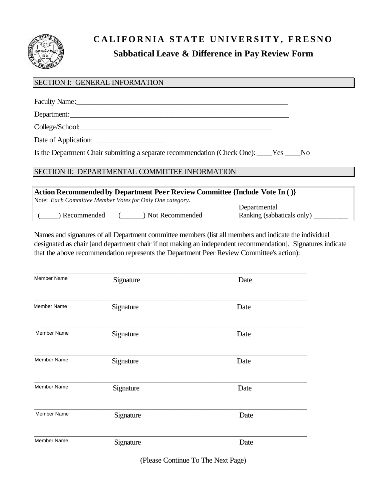

## **CALIFORNIA STATE UNIVERSITY, FRESNO Sabbatical Leave & Difference in Pay Review Form**

# SECTION I: GENERAL INFORMATION Faculty Name: Department:\_\_\_\_\_\_\_\_\_\_\_\_\_\_\_\_\_\_\_\_\_\_\_\_\_\_\_\_\_\_\_\_\_\_\_\_\_\_\_\_\_\_\_\_\_\_\_\_\_\_\_\_\_\_\_\_\_\_ College/School:\_\_\_\_\_\_\_\_\_\_\_\_\_\_\_\_\_\_\_\_\_\_\_\_\_\_\_\_\_\_\_\_\_\_\_\_\_\_\_\_\_\_\_\_\_\_\_\_\_\_\_ Date of Application: Is the Department Chair submitting a separate recommendation (Check One): \_\_\_\_Yes \_\_\_\_No SECTION II: DEPARTMENTAL COMMITTEE INFORMATION

| Action Recommended by Department Peer Review Committee {Include Vote In ()} |                                                          |  |                   |                            |  |  |
|-----------------------------------------------------------------------------|----------------------------------------------------------|--|-------------------|----------------------------|--|--|
|                                                                             | Note: Each Committee Member Votes for Only One category. |  |                   |                            |  |  |
|                                                                             |                                                          |  |                   | Departmental               |  |  |
|                                                                             | ) Recommended                                            |  | ) Not Recommended | Ranking (sabbaticals only) |  |  |

Names and signatures of all Department committee members (list all members and indicate the individual designated as chair [and department chair if not making an independent recommendation]. Signatures indicate that the above recommendation represents the Department Peer Review Committee's action):

| <b>Member Name</b> | Signature | Date |
|--------------------|-----------|------|
| <b>Member Name</b> | Signature | Date |
| <b>Member Name</b> | Signature | Date |
| Member Name        | Signature | Date |
| Member Name        | Signature | Date |
| Member Name        | Signature | Date |
| <b>Member Name</b> | Signature | Date |

(Please Continue To The Next Page)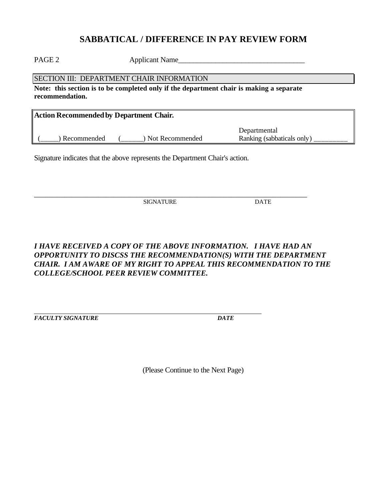## **SABBATICAL / DIFFERENCE IN PAY REVIEW FORM**

PAGE 2 Applicant Name

SECTION III: DEPARTMENT CHAIR INFORMATION

**Note: this section is to be completed only if the department chair is making a separate recommendation.** 

| Action Recommended by Department Chair. |                 |                            |  |  |  |
|-----------------------------------------|-----------------|----------------------------|--|--|--|
|                                         |                 | Departmental               |  |  |  |
| Recommended                             | Not Recommended | Ranking (sabbaticals only) |  |  |  |

Signature indicates that the above represents the Department Chair's action.

SIGNATURE DATE

\_\_\_\_\_\_\_\_\_\_\_\_\_\_\_\_\_\_\_\_\_\_\_\_\_\_\_\_\_\_\_\_\_\_\_\_\_\_\_\_\_\_\_\_\_\_\_\_\_\_\_\_\_\_\_\_\_\_\_\_\_\_\_\_\_\_\_\_\_\_\_\_

#### *I HAVE RECEIVED A COPY OF THE ABOVE INFORMATION. I HAVE HAD AN OPPORTUNITY TO DISCSS THE RECOMMENDATION(S) WITH THE DEPARTMENT CHAIR. I AM AWARE OF MY RIGHT TO APPEAL THIS RECOMMENDATION TO THE COLLEGE/SCHOOL PEER REVIEW COMMITTEE.*

*FACULTY SIGNATURE DATE* 

(Please Continue to the Next Page)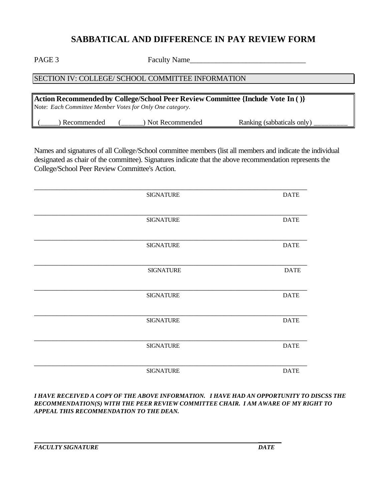## **SABBATICAL AND DIFFERENCE IN PAY REVIEW FORM**

PAGE 3 Faculty Name

#### SECTION IV: COLLEGE/ SCHOOL COMMITTEE INFORMATION

**Action Recommended by College/School Peer Review Committee {Include Vote In ( )}**  Note: *Each Committee Member Votes for Only One category.* 

| nmendea<br>- Rec<br>recon | kecommended | only<br>Kankıng<br>sabbaticals) |  |
|---------------------------|-------------|---------------------------------|--|
|---------------------------|-------------|---------------------------------|--|

Names and signatures of all College/School committee members (list all members and indicate the individual designated as chair of the committee). Signatures indicate that the above recommendation represents the College/School Peer Review Committee's Action.

| <b>SIGNATURE</b> | <b>DATE</b> |
|------------------|-------------|
|                  |             |
|                  |             |
| <b>SIGNATURE</b> | <b>DATE</b> |
|                  |             |
|                  |             |
| <b>SIGNATURE</b> | <b>DATE</b> |
|                  |             |
|                  |             |
| <b>SIGNATURE</b> | <b>DATE</b> |
|                  |             |
|                  |             |
| <b>SIGNATURE</b> | <b>DATE</b> |
|                  |             |
|                  |             |
| <b>SIGNATURE</b> | <b>DATE</b> |
|                  |             |
|                  |             |
| <b>SIGNATURE</b> | <b>DATE</b> |
|                  |             |
|                  |             |
| <b>SIGNATURE</b> | <b>DATE</b> |
|                  |             |

*I HAVE RECEIVED A COPY OF THE ABOVE INFORMATION. I HAVE HAD AN OPPORTUNITY TO DISCSS THE RECOMMENDATION(S) WITH THE PEER REVIEW COMMITTEE CHAIR. I AM AWARE OF MY RIGHT TO APPEAL THIS RECOMMENDATION TO THE DEAN.*